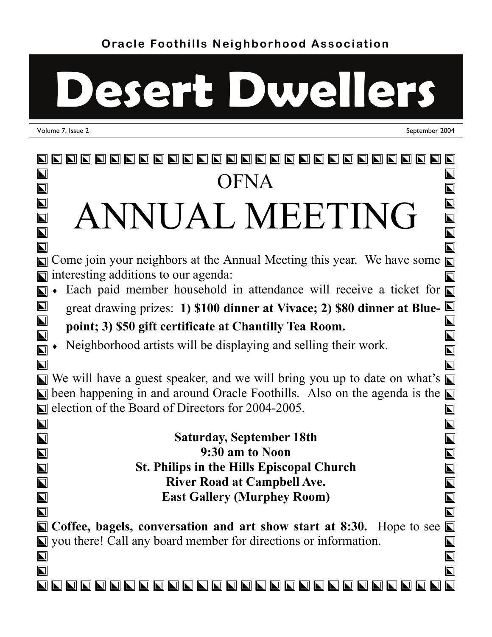# **Desert Dwellers**

Volume 7, Issue 2 September 2004

#### 888888888888888888888888  $\overline{\mathbf{N}}$  $\vert \Gamma \vert$ **OFNA**  $\overline{\blacksquare}$  $\boldsymbol{\nabla}$  $\overline{\mathbf{L}}$ ANNUAL MEETING  $\overline{\mathbf{N}}$  $\overline{\mathbf{L}}$  $\overline{\blacktriangle}$  $\blacksquare$  $\bm{\mathsf{\Sigma}}$  $\Box$  Come join your neighbors at the Annual Meeting this year. We have some  $\Box$  $\blacksquare$  interesting additions to our agenda:  $\overline{\mathbf{N}}$ Each paid member household in attendance will receive a ticket for  $\overline{\blacksquare}$  $\overline{\mathbf{L}}$ great drawing prizes: **1) \$100 dinner at Vivace; 2) \$80 dinner at Blue-** $\overline{\blacksquare}$  $\bm{\nabla}$ **point; 3) \$50 gift certificate at Chantilly Tea Room.**   $\overline{\blacksquare}$  $\overline{\bm{\Sigma}}$  Neighborhood artists will be displaying and selling their work.  $\blacksquare$  $\boldsymbol{\nabla}$  $\blacksquare$  $\overline{\mathbf{N}}$  $\Box$  We will have a guest speaker, and we will bring you up to date on what's  $\Box$  $\Box$  been happening in and around Oracle Foothills. Also on the agenda is the  $\Box$ E election of the Board of Directors for 2004-2005  $\overline{\blacksquare}$  $\overline{\mathbf{N}}$  $\vert\blacksquare\vert$ **Saturday, September 18th**   $\overline{\mathbf{N}}$  $\overline{\mathbf{N}}$ **9:30 am to Noon**   $\overline{\mathbf{N}}$  $\overline{\blacksquare}$  $\blacksquare$ **St. Philips in the Hills Episcopal Church**   $\overline{\mathbf{N}}$  $\overline{\mathbf{L}}$ **River Road at Campbell Ave.**   $\overline{\mathbf{N}}$  $\blacksquare$ **East Gallery (Murphey Room)**   $\overline{\mathbf{N}}$  $\overline{\mathbf{L}}$  $\overline{\bm{\nabla}}$ **N** Coffee, bagels, conversation and art show start at 8:30. Hope to see **N** ■ you there! Call any board member for directions or information.  $\overline{\mathbf{L}}$  $\overline{\mathbf{L}}$  $\overline{\blacksquare}$  $\overline{\mathbf{N}}$  $\overline{\mathbf{N}}$ 888888888888888888888888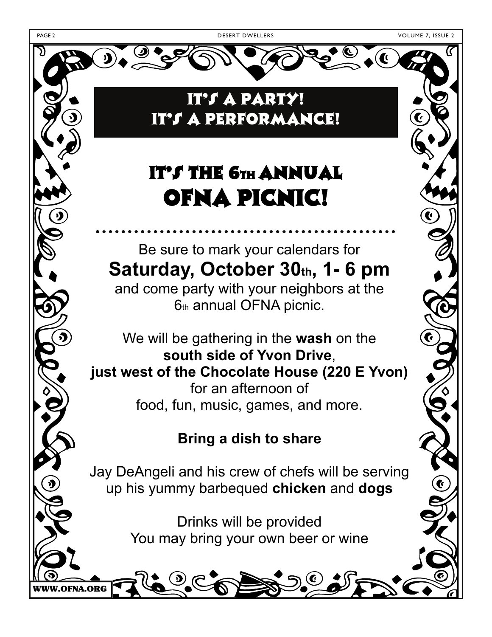WWW.OFNA.ORG

It's a Party!



OFNA Picnic! Be sure to mark your calendars for Saturday, October 30th, 1-6 pm and come party with your neighbors at the 6th annual OFNA picnic. We will be gathering in the **wash** on the **south side of Yvon Drive**, **just west of the Chocolate House (220 E Yvon)**  for an afternoon of food, fun, music, games, and more. **Bring a dish to share**  Jay DeAngeli and his crew of chefs will be serving up his yummy barbequed **chicken** and **dogs**

Drinks will be provided You may bring your own beer or wine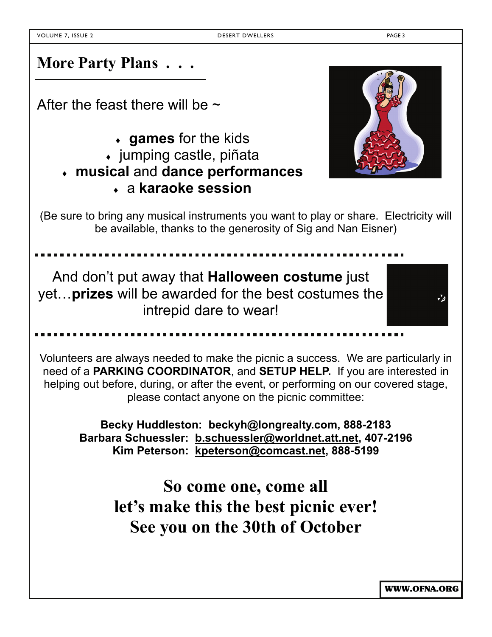**More Party Plans . . .** 

After the feast there will be  $\sim$ 

- **games** for the kids
- jumping castle, piñata
- **musical** and **dance performances** 
	- a **karaoke session**



(Be sure to bring any musical instruments you want to play or share. Electricity will be available, thanks to the generosity of Sig and Nan Eisner)

And don't put away that **Halloween costume** just yet…**prizes** will be awarded for the best costumes the intrepid dare to wear!

Volunteers are always needed to make the picnic a success. We are particularly in need of a **PARKING COORDINATOR**, and **SETUP HELP.** If you are interested in helping out before, during, or after the event, or performing on our covered stage, please contact anyone on the picnic committee:

**Becky Huddleston: beckyh@longrealty.com, 888-2183 Barbara Schuessler: b.schuessler@worldnet.att.net, 407-2196 Kim Peterson: kpeterson@comcast.net, 888-5199** 

> **So come one, come all let's make this the best picnic ever! See you on the 30th of October**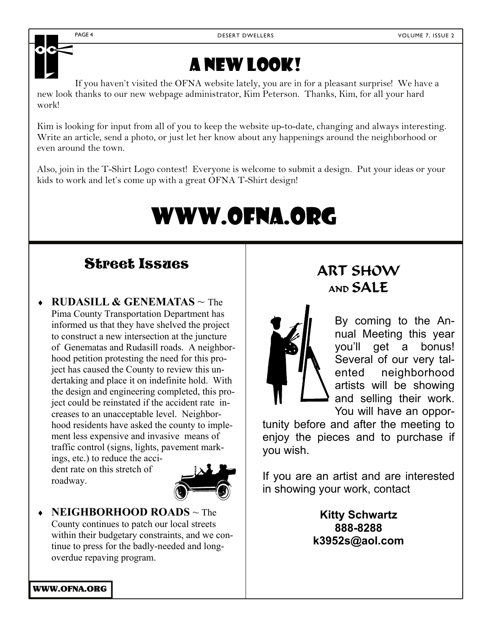

## A new look!

If you haven't visited the OFNA website lately, you are in for a pleasant surprise! We have a new look thanks to our new webpage administrator, Kim Peterson. Thanks, Kim, for all your hard work!

Kim is looking for input from all of you to keep the website up-to-date, changing and always interesting. Write an article, send a photo, or just let her know about any happenings around the neighborhood or even around the town.

Also, join in the T-Shirt Logo contest! Everyone is welcome to submit a design. Put your ideas or your kids to work and let's come up with a great OFNA T-Shirt design!

## www.ofna.org

## Street Issues | ART SHOW

 **RUDASILL & GENEMATAS** ~ The Pima County Transportation Department has informed us that they have shelved the project to construct a new intersection at the juncture of Genematas and Rudasill roads. A neighborhood petition protesting the need for this project has caused the County to review this undertaking and place it on indefinite hold. With the design and engineering completed, this project could be reinstated if the accident rate increases to an unacceptable level. Neighborhood residents have asked the county to implement less expensive and invasive means of traffic control (signs, lights, pavement markings, etc.) to reduce the acci-

dent rate on this stretch of roadway.



 **NEIGHBORHOOD ROADS** ~ The County continues to patch our local streets within their budgetary constraints, and we continue to press for the badly-needed and longoverdue repaving program.

## AND SALE



By coming to the Annual Meeting this year you'll get a bonus! Several of our very talented neighborhood artists will be showing and selling their work. You will have an oppor-

tunity before and after the meeting to enjoy the pieces and to purchase if you wish.

If you are an artist and are interested in showing your work, contact

> **Kitty Schwartz 888-8288 k3952s@aol.com**

WWW.OFNA.ORG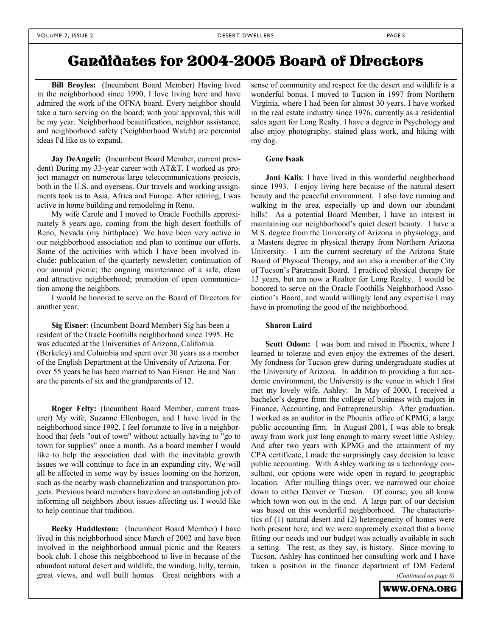### Candidates for 2004-2005 Board of Directors

**Bill Broyles:** (Incumbent Board Member) Having lived in the neighborhood since 1990, I love living here and have admired the work of the OFNA board. Every neighbor should take a turn serving on the board; with your approval, this will be my year. Neighborhood beautification, neighbor assistance, and neighborhood safety (Neighborhood Watch) are perennial ideas I'd like us to expand.

**Jay DeAngeli:** (Incumbent Board Member, current president) During my 33-year career with AT&T, I worked as project manager on numerous large telecommunications projects, both in the U.S. and overseas. Our travels and working assignments took us to Asia, Africa and Europe. After retiring, I was active in home building and remodeling in Reno.

My wife Carole and I moved to Oracle Foothills approximately 8 years ago, coming from the high desert foothills of Reno, Nevada (my birthplace). We have been very active in our neighborhood association and plan to continue our efforts. Some of the activities with which I have been involved include: publication of the quarterly newsletter; continuation of our annual picnic; the ongoing maintenance of a safe, clean and attractive neighborhood; promotion of open communication among the neighbors.

I would be honored to serve on the Board of Directors for another year.

**Sig Eisner**: (Incumbent Board Member) Sig has been a resident of the Oracle Foothills neighborhood since 1995. He was educated at the Universities of Arizona, California (Berkeley) and Columbia and spent over 30 years as a member of the English Department at the University of Arizona. For over 55 years he has been married to Nan Eisner. He and Nan are the parents of six and the grandparents of 12.

**Roger Felty:** (Incumbent Board Member, current treasurer) My wife, Suzanne Ellenbogen, and I have lived in the neighborhood since 1992. I feel fortunate to live in a neighborhood that feels "out of town" without actually having to "go to town for supplies" once a month. As a board member I would like to help the association deal with the inevitable growth issues we will continue to face in an expanding city. We will all be affected in some way by issues looming on the horizon, such as the nearby wash channelization and transportation projects. Previous board members have done an outstanding job of informing all neighbors about issues affecting us. I would like to help continue that tradition.

**Becky Huddleston:** (Incumbent Board Member) I have lived in this neighborhood since March of 2002 and have been involved in the neighborhood annual picnic and the Reaters book club. I chose this neighborhood to live in because of the abundant natural desert and wildlife, the winding, hilly, terrain, great views, and well built homes. Great neighbors with a sense of community and respect for the desert and wildlife is a wonderful bonus. I moved to Tucson in 1997 from Northern Virginia, where I had been for almost 30 years. I have worked in the real estate industry since 1976, currently as a residential sales agent for Long Realty. I have a degree in Psychology and also enjoy photography, stained glass work, and hiking with my dog.

#### **Gene Isaak**

**Joni Kalis**: I have lived in this wonderful neighborhood since 1993. I enjoy living here because of the natural desert beauty and the peaceful environment. I also love running and walking in the area, especially up and down our abundant hills! As a potential Board Member, I have an interest in maintaining our neighborhood's quiet desert beauty. I have a M.S. degree from the University of Arizona in physiology, and a Masters degree in physical therapy from Northern Arizona University. I am the current secretary of the Arizona State Board of Physical Therapy, and am also a member of the City of Tucson's Paratransit Board. I practiced physical therapy for 13 years, but am now a Realtor for Long Realty. I would be honored to serve on the Oracle Foothills Neighborhood Association's Board, and would willingly lend any expertise I may have in promoting the good of the neighborhood.

#### **Sharon Laird**

**Scott Odom:** I was born and raised in Phoenix, where I learned to tolerate and even enjoy the extremes of the desert. My fondness for Tucson grew during undergraduate studies at the University of Arizona. In addition to providing a fun academic environment, the University is the venue in which I first met my lovely wife, Ashley. In May of 2000, I received a bachelor's degree from the college of business with majors in Finance, Accounting, and Entrepreneurship. After graduation, I worked as an auditor in the Phoenix office of KPMG, a large public accounting firm. In August 2001, I was able to break away from work just long enough to marry sweet little Ashley. And after two years with KPMG and the attainment of my CPA certificate, I made the surprisingly easy decision to leave public accounting. With Ashley working as a technology consultant, our options were wide open in regard to geographic location. After mulling things over, we narrowed our choice down to either Denver or Tucson. Of course, you all know which town won out in the end. A large part of our decision was based on this wonderful neighborhood. The characteristics of (1) natural desert and (2) heterogeneity of homes were both present here, and we were supremely excited that a home fitting our needs and our budget was actually available in such a setting. The rest, as they say, is history. Since moving to Tucson, Ashley has continued her consulting work and I have taken a position in the finance department of DM Federal

*(Continued on page 6)* 

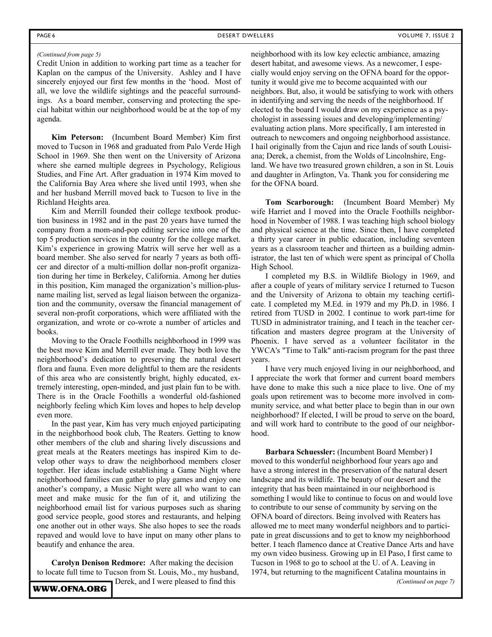#### *(Continued from page 5)*

Credit Union in addition to working part time as a teacher for Kaplan on the campus of the University. Ashley and I have sincerely enjoyed our first few months in the 'hood. Most of all, we love the wildlife sightings and the peaceful surroundings. As a board member, conserving and protecting the special habitat within our neighborhood would be at the top of my agenda.

**Kim Peterson:** (Incumbent Board Member) Kim first moved to Tucson in 1968 and graduated from Palo Verde High School in 1969. She then went on the University of Arizona where she earned multiple degrees in Psychology, Religious Studies, and Fine Art. After graduation in 1974 Kim moved to the California Bay Area where she lived until 1993, when she and her husband Merrill moved back to Tucson to live in the Richland Heights area.

Kim and Merrill founded their college textbook production business in 1982 and in the past 20 years have turned the company from a mom-and-pop editing service into one of the top 5 production services in the country for the college market. Kim's experience in growing Matrix will serve her well as a board member. She also served for nearly 7 years as both officer and director of a multi-million dollar non-profit organization during her time in Berkeley, California. Among her duties in this position, Kim managed the organization's million-plusname mailing list, served as legal liaison between the organization and the community, oversaw the financial management of several non-profit corporations, which were affiliated with the organization, and wrote or co-wrote a number of articles and books.

Moving to the Oracle Foothills neighborhood in 1999 was the best move Kim and Merrill ever made. They both love the neighborhood's dedication to preserving the natural desert flora and fauna. Even more delightful to them are the residents of this area who are consistently bright, highly educated, extremely interesting, open-minded, and just plain fun to be with. There is in the Oracle Foothills a wonderful old-fashioned neighborly feeling which Kim loves and hopes to help develop even more.

In the past year, Kim has very much enjoyed participating in the neighborhood book club, The Reaters. Getting to know other members of the club and sharing lively discussions and great meals at the Reaters meetings has inspired Kim to develop other ways to draw the neighborhood members closer together. Her ideas include establishing a Game Night where neighborhood families can gather to play games and enjoy one another's company, a Music Night were all who want to can meet and make music for the fun of it, and utilizing the neighborhood email list for various purposes such as sharing good service people, good stores and restaurants, and helping one another out in other ways. She also hopes to see the roads repaved and would love to have input on many other plans to beautify and enhance the area.

**Carolyn Denison Redmore:** After making the decision to locate full time to Tucson from St. Louis, Mo., my husband, Derek, and I were pleased to find this

neighborhood with its low key eclectic ambiance, amazing desert habitat, and awesome views. As a newcomer, I especially would enjoy serving on the OFNA board for the opportunity it would give me to become acquainted with our neighbors. But, also, it would be satisfying to work with others in identifying and serving the needs of the neighborhood. If elected to the board I would draw on my experience as a psychologist in assessing issues and developing/implementing/ evaluating action plans. More specifically, I am interested in outreach to newcomers and ongoing neighborhood assistance. I hail originally from the Cajun and rice lands of south Louisiana; Derek, a chemist, from the Wolds of Lincolnshire, England. We have two treasured grown children, a son in St. Louis and daughter in Arlington, Va. Thank you for considering me for the OFNA board.

**Tom Scarborough:** (Incumbent Board Member) My wife Harriet and I moved into the Oracle Foothills neighborhood in November of 1988. I was teaching high school biology and physical science at the time. Since then, I have completed a thirty year career in public education, including seventeen years as a classroom teacher and thirteen as a building administrator, the last ten of which were spent as principal of Cholla High School.

I completed my B.S. in Wildlife Biology in 1969, and after a couple of years of military service I returned to Tucson and the University of Arizona to obtain my teaching certificate. I completed my M.Ed. in 1979 and my Ph.D. in 1986. I retired from TUSD in 2002. I continue to work part-time for TUSD in administrator training, and I teach in the teacher certification and masters degree program at the University of Phoenix. I have served as a volunteer facilitator in the YWCA's "Time to Talk" anti-racism program for the past three years.

I have very much enjoyed living in our neighborhood, and I appreciate the work that former and current board members have done to make this such a nice place to live. One of my goals upon retirement was to become more involved in community service, and what better place to begin than in our own neighborhood? If elected, I will be proud to serve on the board, and will work hard to contribute to the good of our neighborhood.

**Barbara Schuessler:** (Incumbent Board Member) I moved to this wonderful neighborhood four years ago and have a strong interest in the preservation of the natural desert landscape and its wildlife. The beauty of our desert and the integrity that has been maintained in our neighborhood is something I would like to continue to focus on and would love to contribute to our sense of community by serving on the OFNA board of directors. Being involved with Reaters has allowed me to meet many wonderful neighbors and to participate in great discussions and to get to know my neighborhood better. I teach flamenco dance at Creative Dance Arts and have my own video business. Growing up in El Paso, I first came to Tucson in 1968 to go to school at the U. of A. Leaving in 1974, but returning to the magnificent Catalina mountains in *(Continued on page 7)*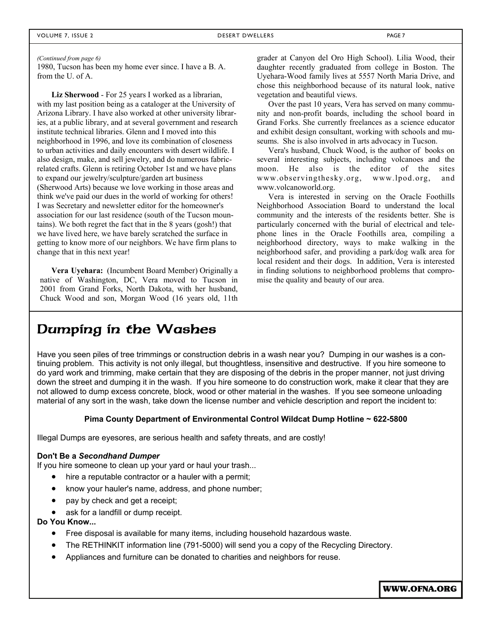*(Continued from page 6)* 

1980, Tucson has been my home ever since. I have a B. A. from the U. of A.

**Liz Sherwood** - For 25 years I worked as a librarian, with my last position being as a cataloger at the University of Arizona Library. I have also worked at other university libraries, at a public library, and at several government and research institute technical libraries. Glenn and I moved into this neighborhood in 1996, and love its combination of closeness to urban activities and daily encounters with desert wildlife. I also design, make, and sell jewelry, and do numerous fabricrelated crafts. Glenn is retiring October 1st and we have plans to expand our jewelry/sculpture/garden art business (Sherwood Arts) because we love working in those areas and think we've paid our dues in the world of working for others! I was Secretary and newsletter editor for the homeowner's association for our last residence (south of the Tucson mountains). We both regret the fact that in the 8 years (gosh!) that we have lived here, we have barely scratched the surface in getting to know more of our neighbors. We have firm plans to change that in this next year!

**Vera Uyehara:** (Incumbent Board Member) Originally a native of Washington, DC, Vera moved to Tucson in 2001 from Grand Forks, North Dakota, with her husband, Chuck Wood and son, Morgan Wood (16 years old, 11th grader at Canyon del Oro High School). Lilia Wood, their daughter recently graduated from college in Boston. The Uyehara-Wood family lives at 5557 North Maria Drive, and chose this neighborhood because of its natural look, native vegetation and beautiful views.

Over the past 10 years, Vera has served on many community and non-profit boards, including the school board in Grand Forks. She currently freelances as a science educator and exhibit design consultant, working with schools and museums. She is also involved in arts advocacy in Tucson.

Vera's husband, Chuck Wood, is the author of books on several interesting subjects, including volcanoes and the moon. He also is the editor of the sites www.observingthesky.org, www.lpod.org, and www.volcanoworld.org.

Vera is interested in serving on the Oracle Foothills Neighborhood Association Board to understand the local community and the interests of the residents better. She is particularly concerned with the burial of electrical and telephone lines in the Oracle Foothills area, compiling a neighborhood directory, ways to make walking in the neighborhood safer, and providing a park/dog walk area for local resident and their dogs. In addition, Vera is interested in finding solutions to neighborhood problems that compromise the quality and beauty of our area.

#### Dumping in the Washes

Have you seen piles of tree trimmings or construction debris in a wash near you? Dumping in our washes is a continuing problem. This activity is not only illegal, but thoughtless, insensitive and destructive. If you hire someone to do yard work and trimming, make certain that they are disposing of the debris in the proper manner, not just driving down the street and dumping it in the wash. If you hire someone to do construction work, make it clear that they are not allowed to dump excess concrete, block, wood or other material in the washes. If you see someone unloading material of any sort in the wash, take down the license number and vehicle description and report the incident to:

#### **Pima County Department of Environmental Control Wildcat Dump Hotline ~ 622-5800**

Illegal Dumps are eyesores, are serious health and safety threats, and are costly!

#### **Don't Be a** *Secondhand Dumper*

If you hire someone to clean up your yard or haul your trash...

- hire a reputable contractor or a hauler with a permit;
- know your hauler's name, address, and phone number;
- pay by check and get a receipt;
- ask for a landfill or dump receipt.

**Do You Know...**

- Free disposal is available for many items, including household hazardous waste.
- The RETHINKIT information line (791-5000) will send you a copy of the Recycling Directory.
- Appliances and furniture can be donated to charities and neighbors for reuse.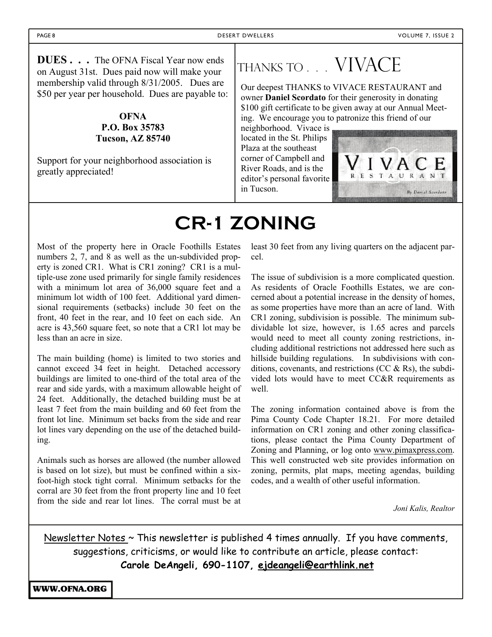**DUES . . .** The OFNA Fiscal Year now ends on August 31st. Dues paid now will make your membership valid through 8/31/2005. Dues are \$50 per year per household. Dues are payable to:

#### **OFNA P.O. Box 35783 Tucson, AZ 85740**

Support for your neighborhood association is greatly appreciated!

## Thanks to . . . VIVACE

Our deepest THANKS to VIVACE RESTAURANT and owner **Daniel Scordato** for their generosity in donating \$100 gift certificate to be given away at our Annual Meeting. We encourage you to patronize this friend of our

neighborhood. Vivace is located in the St. Philips Plaza at the southeast corner of Campbell and River Roads, and is the editor's personal favorite in Tucson.



## **CR-1 ZONING**

Most of the property here in Oracle Foothills Estates numbers 2, 7, and 8 as well as the un-subdivided property is zoned CR1. What is CR1 zoning? CR1 is a multiple-use zone used primarily for single family residences with a minimum lot area of 36,000 square feet and a minimum lot width of 100 feet. Additional yard dimensional requirements (setbacks) include 30 feet on the front, 40 feet in the rear, and 10 feet on each side. An acre is 43,560 square feet, so note that a CR1 lot may be less than an acre in size.

The main building (home) is limited to two stories and cannot exceed 34 feet in height. Detached accessory buildings are limited to one-third of the total area of the rear and side yards, with a maximum allowable height of 24 feet. Additionally, the detached building must be at least 7 feet from the main building and 60 feet from the front lot line. Minimum set backs from the side and rear lot lines vary depending on the use of the detached building.

Animals such as horses are allowed (the number allowed is based on lot size), but must be confined within a sixfoot-high stock tight corral. Minimum setbacks for the corral are 30 feet from the front property line and 10 feet from the side and rear lot lines. The corral must be at least 30 feet from any living quarters on the adjacent parcel.

The issue of subdivision is a more complicated question. As residents of Oracle Foothills Estates, we are concerned about a potential increase in the density of homes, as some properties have more than an acre of land. With CR1 zoning, subdivision is possible. The minimum subdividable lot size, however, is 1.65 acres and parcels would need to meet all county zoning restrictions, including additional restrictions not addressed here such as hillside building regulations. In subdivisions with conditions, covenants, and restrictions (CC  $\&$  Rs), the subdivided lots would have to meet CC&R requirements as well.

The zoning information contained above is from the Pima County Code Chapter 18.21. For more detailed information on CR1 zoning and other zoning classifications, please contact the Pima County Department of Zoning and Planning, or log onto www.pimaxpress.com. This well constructed web site provides information on zoning, permits, plat maps, meeting agendas, building codes, and a wealth of other useful information.

*Joni Kalis, Realtor* 

Newsletter Notes  $\sim$  This newsletter is published 4 times annually. If you have comments, suggestions, criticisms, or would like to contribute an article, please contact: **Carole DeAngeli, 690-1107, ejdeangeli@earthlink.net**

WWW.OFNA.ORG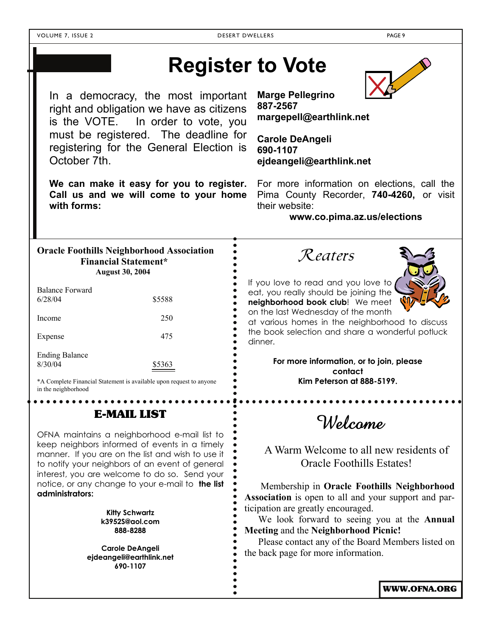## **Register to Vote**

In a democracy, the most important right and obligation we have as citizens is the VOTE. In order to vote, you must be registered. The deadline for registering for the General Election is October 7th.

**We can make it easy for you to register. Call us and we will come to your home with forms:** 

**Marge Pellegrino 887-2567 margepell@earthlink.net** 

**Carole DeAngeli 690-1107 ejdeangeli@earthlink.net** 

For more information on elections, call the Pima County Recorder, **740-4260,** or visit their website:

**www.co.pima.az.us/elections** 

| <b>Oracle Foothills Neighborhood Association</b><br><b>Financial Statement*</b><br><b>August 30, 2004</b> |        |  |  |  |
|-----------------------------------------------------------------------------------------------------------|--------|--|--|--|
| <b>Balance Forward</b><br>6/28/04                                                                         | \$5588 |  |  |  |
|                                                                                                           |        |  |  |  |

| Income                | 250    |
|-----------------------|--------|
| Expense               | 475    |
| <b>Ending Balance</b> |        |
| 8/30/04               | \$5363 |

\*A Complete Financial Statement is available upon request to anyone in the neighborhood

#### E-MAIL LIST

OFNA maintains a neighborhood e-mail list to keep neighbors informed of events in a timely manner. If you are on the list and wish to use it to notify your neighbors of an event of general interest, you are welcome to do so. Send your notice, or any change to your e-mail to **the list administrators:** 

> **Kitty Schwartz k3952S@aol.com 888-8288**

 **Carole DeAngeli ejdeangeli@earthlink.net 690-1107** 

Reaters



If you love to read and you love to eat, you really should be joining the **neighborhood book club**! We meet on the last Wednesday of the month

at various homes in the neighborhood to discuss the book selection and share a wonderful potluck dinner.

> **For more information, or to join, please contact Kim Peterson at 888-5199.**

> > Welcome

A Warm Welcome to all new residents of Oracle Foothills Estates!

 Membership in **Oracle Foothills Neighborhood Association** is open to all and your support and participation are greatly encouraged.

We look forward to seeing you at the **Annual Meeting** and the **Neighborhood Picnic!**

Please contact any of the Board Members listed on the back page for more information.